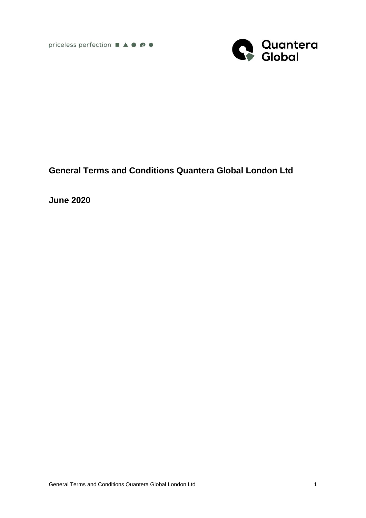

# **General Terms and Conditions Quantera Global London Ltd**

**June 2020**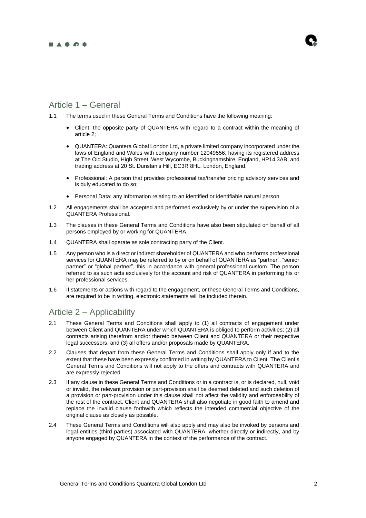#### **BASOS**

## Article 1 – General

- 1.1 The terms used in these General Terms and Conditions have the following meaning:
	- Client: the opposite party of QUANTERA with regard to a contract within the meaning of article 2;
	- QUANTERA: Quantera Global London Ltd, a private limited company incorporated under the laws of England and Wales with company number 12049556, having its registered address at The Old Studio, High Street, West Wycombe, Buckinghamshire, England, HP14 3AB, and trading address at 20 St. Dunstan's Hill, EC3R 8HL, London, England;
	- Professional: A person that provides professional tax/transfer pricing advisory services and is duly educated to do so;
	- Personal Data: any information relating to an identified or identifiable natural person.
- 1.2 All engagements shall be accepted and performed exclusively by or under the supervision of a QUANTERA Professional.
- 1.3 The clauses in these General Terms and Conditions have also been stipulated on behalf of all persons employed by or working for QUANTERA.
- 1.4 QUANTERA shall operate as sole contracting party of the Client.
- 1.5 Any person who is a direct or indirect shareholder of QUANTERA and who performs professional services for QUANTERA may be referred to by or on behalf of QUANTERA as "partner", "senior partner" or "global partner", this in accordance with general professional custom. The person referred to as such acts exclusively for the account and risk of QUANTERA in performing his or her professional services.
- 1.6 If statements or actions with regard to the engagement, or these General Terms and Conditions, are required to be in writing, electronic statements will be included therein.

### Article 2 – Applicability

- 2.1 These General Terms and Conditions shall apply to (1) all contracts of engagement under between Client and QUANTERA under which QUANTERA is obliged to perform activities; (2) all contracts arising therefrom and/or thereto between Client and QUANTERA or their respective legal successors; and (3) all offers and/or proposals made by QUANTERA.
- 2.2 Clauses that depart from these General Terms and Conditions shall apply only if and to the extent that these have been expressly confirmed in writing by QUANTERA to Client. The Client's General Terms and Conditions will not apply to the offers and contracts with QUANTERA and are expressly rejected.
- 2.3 If any clause in these General Terms and Conditions or in a contract is, or is declared, null, void or invalid, the relevant provision or part-provision shall be deemed deleted and such deletion of a provision or part-provision under this clause shall not affect the validity and enforceability of the rest of the contract. Client and QUANTERA shall also negotiate in good faith to amend and replace the invalid clause forthwith which reflects the intended commercial objective of the original clause as closely as possible.
- 2.4 These General Terms and Conditions will also apply and may also be invoked by persons and legal entities (third parties) associated with QUANTERA, whether directly or indirectly, and by anyone engaged by QUANTERA in the context of the performance of the contract.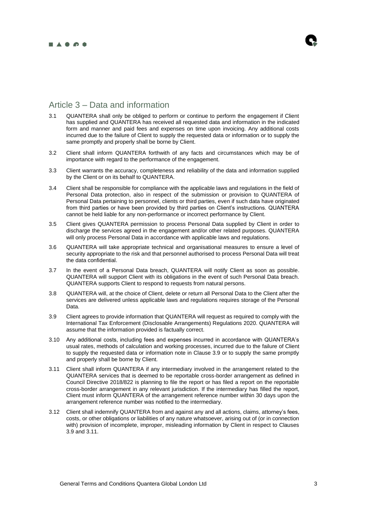

## Article 3 – Data and information

- 3.1 QUANTERA shall only be obliged to perform or continue to perform the engagement if Client has supplied and QUANTERA has received all requested data and information in the indicated form and manner and paid fees and expenses on time upon invoicing. Any additional costs incurred due to the failure of Client to supply the requested data or information or to supply the same promptly and properly shall be borne by Client.
- 3.2 Client shall inform QUANTERA forthwith of any facts and circumstances which may be of importance with regard to the performance of the engagement.
- 3.3 Client warrants the accuracy, completeness and reliability of the data and information supplied by the Client or on its behalf to QUANTERA.
- 3.4 Client shall be responsible for compliance with the applicable laws and regulations in the field of Personal Data protection, also in respect of the submission or provision to QUANTERA of Personal Data pertaining to personnel, clients or third parties, even if such data have originated from third parties or have been provided by third parties on Client's instructions. QUANTERA cannot be held liable for any non-performance or incorrect performance by Client.
- 3.5 Client gives QUANTERA permission to process Personal Data supplied by Client in order to discharge the services agreed in the engagement and/or other related purposes. QUANTERA will only process Personal Data in accordance with applicable laws and regulations.
- 3.6 QUANTERA will take appropriate technical and organisational measures to ensure a level of security appropriate to the risk and that personnel authorised to process Personal Data will treat the data confidential.
- 3.7 In the event of a Personal Data breach, QUANTERA will notify Client as soon as possible. QUANTERA will support Client with its obligations in the event of such Personal Data breach. QUANTERA supports Client to respond to requests from natural persons.
- 3.8 QUANTERA will, at the choice of Client, delete or return all Personal Data to the Client after the services are delivered unless applicable laws and regulations requires storage of the Personal Data.
- 3.9 Client agrees to provide information that QUANTERA will request as required to comply with the International Tax Enforcement (Disclosable Arrangements) Regulations 2020. QUANTERA will assume that the information provided is factually correct.
- 3.10 Any additional costs, including fees and expenses incurred in accordance with QUANTERA's usual rates, methods of calculation and working processes, incurred due to the failure of Client to supply the requested data or information note in Clause 3.9 or to supply the same promptly and properly shall be borne by Client.
- 3.11 Client shall inform QUANTERA if any intermediary involved in the arrangement related to the QUANTERA services that is deemed to be reportable cross-border arrangement as defined in Council Directive 2018/822 is planning to file the report or has filed a report on the reportable cross-border arrangement in any relevant jurisdiction. If the intermediary has filled the report, Client must inform QUANTERA of the arrangement reference number within 30 days upon the arrangement reference number was notified to the intermediary.
- 3.12 Client shall indemnify QUANTERA from and against any and all actions, claims, attorney's fees, costs, or other obligations or liabilities of any nature whatsoever, arising out of (or in connection with) provision of incomplete, improper, misleading information by Client in respect to Clauses 3.9 and 3.11.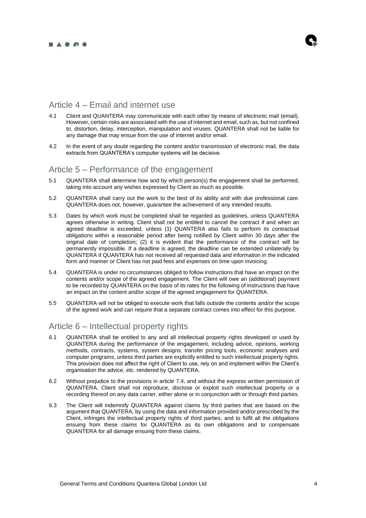

## Article 4 – Email and internet use

- 4.1 Client and QUANTERA may communicate with each other by means of electronic mail (email). However, certain risks are associated with the use of internet and email, such as, but not confined to, distortion, delay, interception, manipulation and viruses. QUANTERA shall not be liable for any damage that may ensue from the use of internet and/or email.
- 4.2 In the event of any doubt regarding the content and/or transmission of electronic mail, the data extracts from QUANTERA's computer systems will be decisive.

#### Article 5 – Performance of the engagement

- 5.1 QUANTERA shall determine how and by which person(s) the engagement shall be performed, taking into account any wishes expressed by Client as much as possible.
- 5.2 QUANTERA shall carry out the work to the best of its ability and with due professional care. QUANTERA does not, however, guarantee the achievement of any intended results.
- 5.3 Dates by which work must be completed shall be regarded as guidelines, unless QUANTERA agrees otherwise in writing. Client shall not be entitled to cancel the contract if and when an agreed deadline is exceeded, unless (1) QUANTERA also fails to perform its contractual obligations within a reasonable period after being notified by Client within 30 days after the original date of completion; (2) it is evident that the performance of the contract will be permanently impossible. If a deadline is agreed, the deadline can be extended unilaterally by QUANTERA if QUANTERA has not received all requested data and information in the indicated form and manner or Client has not paid fees and expenses on time upon invoicing.
- 5.4 QUANTERA is under no circumstances obliged to follow instructions that have an impact on the contents and/or scope of the agreed engagement. The Client will owe an (additional) payment to be recorded by QUANTERA on the basis of its rates for the following of instructions that have an impact on the content and/or scope of the agreed engagement for QUANTERA.
- 5.5 QUANTERA will not be obliged to execute work that falls outside the contents and/or the scope of the agreed work and can require that a separate contract comes into effect for this purpose.

### Article 6 – Intellectual property rights

- 6.1 QUANTERA shall be entitled to any and all intellectual property rights developed or used by QUANTERA during the performance of the engagement, including advice, opinions, working methods, contracts, systems, system designs, transfer pricing tools, economic analyses and computer programs, unless third parties are explicitly entitled to such intellectual property rights. This provision does not affect the right of Client to use, rely on and implement within the Client's organisation the advice, etc. rendered by QUANTERA.
- 6.2 Without prejudice to the provisions in article 7.4, and without the express written permission of QUANTERA, Client shall not reproduce, disclose or exploit such intellectual property or a recording thereof on any data carrier, either alone or in conjunction with or through third parties.
- 6.3 The Client will indemnify QUANTERA against claims by third parties that are based on the argument that QUANTERA, by using the data and information provided and/or prescribed by the Client, infringes the intellectual property rights of third parties, and to fulfil all the obligations ensuing from these claims for QUANTERA as its own obligations and to compensate QUANTERA for all damage ensuing from these claims.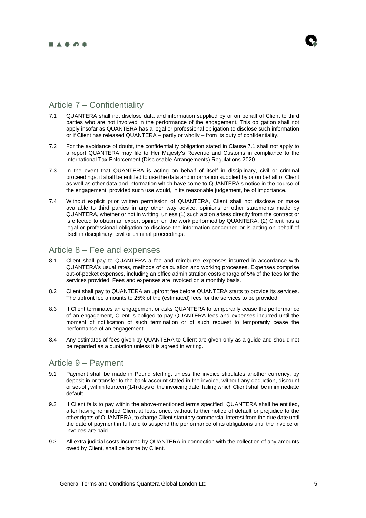

## Article 7 – Confidentiality

- 7.1 QUANTERA shall not disclose data and information supplied by or on behalf of Client to third parties who are not involved in the performance of the engagement. This obligation shall not apply insofar as QUANTERA has a legal or professional obligation to disclose such information or if Client has released QUANTERA – partly or wholly – from its duty of confidentiality.
- 7.2 For the avoidance of doubt, the confidentiality obligation stated in Clause 7.1 shall not apply to a report QUANTERA may file to Her Majesty's Revenue and Customs in compliance to the International Tax Enforcement (Disclosable Arrangements) Regulations 2020.
- 7.3 In the event that QUANTERA is acting on behalf of itself in disciplinary, civil or criminal proceedings, it shall be entitled to use the data and information supplied by or on behalf of Client as well as other data and information which have come to QUANTERA's notice in the course of the engagement, provided such use would, in its reasonable judgement, be of importance.
- 7.4 Without explicit prior written permission of QUANTERA, Client shall not disclose or make available to third parties in any other way advice, opinions or other statements made by QUANTERA, whether or not in writing, unless (1) such action arises directly from the contract or is effected to obtain an expert opinion on the work performed by QUANTERA, (2) Client has a legal or professional obligation to disclose the information concerned or is acting on behalf of itself in disciplinary, civil or criminal proceedings.

### Article 8 – Fee and expenses

- 8.1 Client shall pay to QUANTERA a fee and reimburse expenses incurred in accordance with QUANTERA's usual rates, methods of calculation and working processes. Expenses comprise out-of-pocket expenses, including an office administration costs charge of 5% of the fees for the services provided. Fees and expenses are invoiced on a monthly basis.
- 8.2 Client shall pay to QUANTERA an upfront fee before QUANTERA starts to provide its services. The upfront fee amounts to 25% of the (estimated) fees for the services to be provided.
- 8.3 If Client terminates an engagement or asks QUANTERA to temporarily cease the performance of an engagement, Client is obliged to pay QUANTERA fees and expenses incurred until the moment of notification of such termination or of such request to temporarily cease the performance of an engagement.
- 8.4 Any estimates of fees given by QUANTERA to Client are given only as a guide and should not be regarded as a quotation unless it is agreed in writing.

### Article 9 – Payment

- 9.1 Payment shall be made in Pound sterling, unless the invoice stipulates another currency, by deposit in or transfer to the bank account stated in the invoice, without any deduction, discount or set-off, within fourteen (14) days of the invoicing date, failing which Client shall be in immediate default.
- 9.2 If Client fails to pay within the above-mentioned terms specified, QUANTERA shall be entitled, after having reminded Client at least once, without further notice of default or prejudice to the other rights of QUANTERA, to charge Client statutory commercial interest from the due date until the date of payment in full and to suspend the performance of its obligations until the invoice or invoices are paid.
- 9.3 All extra judicial costs incurred by QUANTERA in connection with the collection of any amounts owed by Client, shall be borne by Client.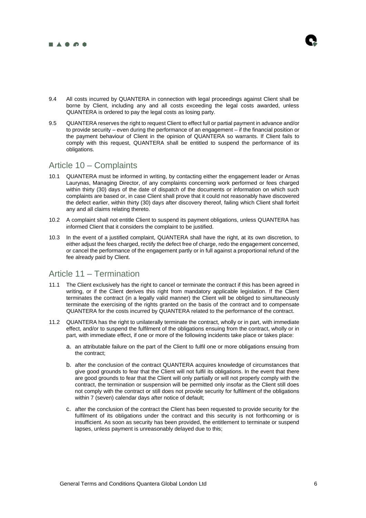

- 
- 9.4 All costs incurred by QUANTERA in connection with legal proceedings against Client shall be borne by Client, including any and all costs exceeding the legal costs awarded, unless QUANTERA is ordered to pay the legal costs as losing party.
- 9.5 QUANTERA reserves the right to request Client to effect full or partial payment in advance and/or to provide security – even during the performance of an engagement – if the financial position or the payment behaviour of Client in the opinion of QUANTERA so warrants. If Client fails to comply with this request, QUANTERA shall be entitled to suspend the performance of its obligations.

### Article 10 – Complaints

- 10.1 QUANTERA must be informed in writing, by contacting either the engagement leader or Arnas Laurynas, Managing Director, of any complaints concerning work performed or fees charged within thirty (30) days of the date of dispatch of the documents or information on which such complaints are based or, in case Client shall prove that it could not reasonably have discovered the defect earlier, within thirty (30) days after discovery thereof, failing which Client shall forfeit any and all claims relating thereto.
- 10.2 A complaint shall not entitle Client to suspend its payment obligations, unless QUANTERA has informed Client that it considers the complaint to be justified.
- 10.3 In the event of a justified complaint, QUANTERA shall have the right, at its own discretion, to either adjust the fees charged, rectify the defect free of charge, redo the engagement concerned, or cancel the performance of the engagement partly or in full against a proportional refund of the fee already paid by Client.

### Article 11 – Termination

- 11.1 The Client exclusively has the right to cancel or terminate the contract if this has been agreed in writing, or if the Client derives this right from mandatory applicable legislation. If the Client terminates the contract (in a legally valid manner) the Client will be obliged to simultaneously terminate the exercising of the rights granted on the basis of the contract and to compensate QUANTERA for the costs incurred by QUANTERA related to the performance of the contract.
- 11.2 QUANTERA has the right to unilaterally terminate the contract, wholly or in part, with immediate effect, and/or to suspend the fulfilment of the obligations ensuing from the contract, wholly or in part, with immediate effect, if one or more of the following incidents take place or takes place:
	- a. an attributable failure on the part of the Client to fulfil one or more obligations ensuing from the contract;
	- b. after the conclusion of the contract QUANTERA acquires knowledge of circumstances that give good grounds to fear that the Client will not fulfil its obligations. In the event that there are good grounds to fear that the Client will only partially or will not properly comply with the contract, the termination or suspension will be permitted only insofar as the Client still does not comply with the contract or still does not provide security for fulfilment of the obligations within 7 (seven) calendar days after notice of default;
	- c. after the conclusion of the contract the Client has been requested to provide security for the fulfilment of its obligations under the contract and this security is not forthcoming or is insufficient. As soon as security has been provided, the entitlement to terminate or suspend lapses, unless payment is unreasonably delayed due to this;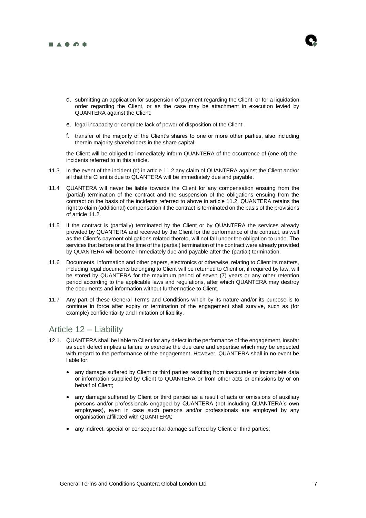

- d. submitting an application for suspension of payment regarding the Client, or for a liquidation order regarding the Client, or as the case may be attachment in execution levied by QUANTERA against the Client;
- e. legal incapacity or complete lack of power of disposition of the Client;
- f. transfer of the majority of the Client's shares to one or more other parties, also including therein majority shareholders in the share capital;

the Client will be obliged to immediately inform QUANTERA of the occurrence of (one of) the incidents referred to in this article.

- 11.3 In the event of the incident (d) in article 11.2 any claim of QUANTERA against the Client and/or all that the Client is due to QUANTERA will be immediately due and payable.
- 11.4 QUANTERA will never be liable towards the Client for any compensation ensuing from the (partial) termination of the contract and the suspension of the obligations ensuing from the contract on the basis of the incidents referred to above in article 11.2. QUANTERA retains the right to claim (additional) compensation if the contract is terminated on the basis of the provisions of article 11.2.
- 11.5 If the contract is (partially) terminated by the Client or by QUANTERA the services already provided by QUANTERA and received by the Client for the performance of the contract, as well as the Client's payment obligations related thereto, will not fall under the obligation to undo. The services that before or at the time of the (partial) termination of the contract were already provided by QUANTERA will become immediately due and payable after the (partial) termination.
- 11.6 Documents, information and other papers, electronics or otherwise, relating to Client its matters, including legal documents belonging to Client will be returned to Client or, if required by law, will be stored by QUANTERA for the maximum period of seven (7) years or any other retention period according to the applicable laws and regulations, after which QUANTERA may destroy the documents and information without further notice to Client.
- 11.7 Any part of these General Terms and Conditions which by its nature and/or its purpose is to continue in force after expiry or termination of the engagement shall survive, such as (for example) confidentiality and limitation of liability.

### Article 12 – Liability

- 12.1. QUANTERA shall be liable to Client for any defect in the performance of the engagement, insofar as such defect implies a failure to exercise the due care and expertise which may be expected with regard to the performance of the engagement. However, QUANTERA shall in no event be liable for:
	- any damage suffered by Client or third parties resulting from inaccurate or incomplete data or information supplied by Client to QUANTERA or from other acts or omissions by or on behalf of Client;
	- any damage suffered by Client or third parties as a result of acts or omissions of auxiliary persons and/or professionals engaged by QUANTERA (not including QUANTERA's own employees), even in case such persons and/or professionals are employed by any organisation affiliated with QUANTERA;
	- any indirect, special or consequential damage suffered by Client or third parties;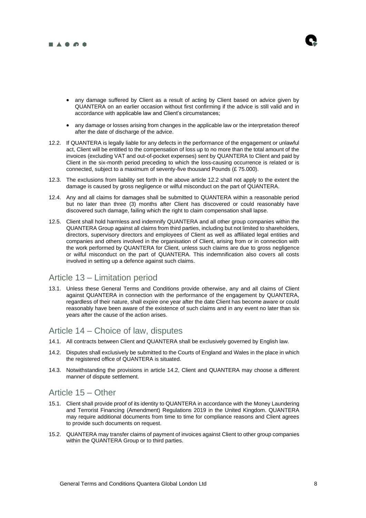

- any damage suffered by Client as a result of acting by Client based on advice given by QUANTERA on an earlier occasion without first confirming if the advice is still valid and in accordance with applicable law and Client's circumstances;
- any damage or losses arising from changes in the applicable law or the interpretation thereof after the date of discharge of the advice.
- 12.2. If QUANTERA is legally liable for any defects in the performance of the engagement or unlawful act, Client will be entitled to the compensation of loss up to no more than the total amount of the invoices (excluding VAT and out-of-pocket expenses) sent by QUANTERA to Client and paid by Client in the six-month period preceding to which the loss-causing occurrence is related or is connected, subject to a maximum of seventy-five thousand Pounds (£ 75.000).
- 12.3. The exclusions from liability set forth in the above article 12.2 shall not apply to the extent the damage is caused by gross negligence or wilful misconduct on the part of QUANTERA.
- 12.4. Any and all claims for damages shall be submitted to QUANTERA within a reasonable period but no later than three (3) months after Client has discovered or could reasonably have discovered such damage, failing which the right to claim compensation shall lapse.
- 12.5. Client shall hold harmless and indemnify QUANTERA and all other group companies within the QUANTERA Group against all claims from third parties, including but not limited to shareholders, directors, supervisory directors and employees of Client as well as affiliated legal entities and companies and others involved in the organisation of Client, arising from or in connection with the work performed by QUANTERA for Client, unless such claims are due to gross negligence or wilful misconduct on the part of QUANTERA. This indemnification also covers all costs involved in setting up a defence against such claims.

### Article 13 – Limitation period

13.1. Unless these General Terms and Conditions provide otherwise, any and all claims of Client against QUANTERA in connection with the performance of the engagement by QUANTERA, regardless of their nature, shall expire one year after the date Client has become aware or could reasonably have been aware of the existence of such claims and in any event no later than six years after the cause of the action arises.

### Article 14 – Choice of law, disputes

- 14.1. All contracts between Client and QUANTERA shall be exclusively governed by English law.
- 14.2. Disputes shall exclusively be submitted to the Courts of England and Wales in the place in which the registered office of QUANTERA is situated.
- 14.3. Notwithstanding the provisions in article 14.2, Client and QUANTERA may choose a different manner of dispute settlement.

### Article 15 – Other

- 15.1. Client shall provide proof of its identity to QUANTERA in accordance with the Money Laundering and Terrorist Financing (Amendment) Regulations 2019 in the United Kingdom. QUANTERA may require additional documents from time to time for compliance reasons and Client agrees to provide such documents on request.
- 15.2. QUANTERA may transfer claims of payment of invoices against Client to other group companies within the QUANTERA Group or to third parties.